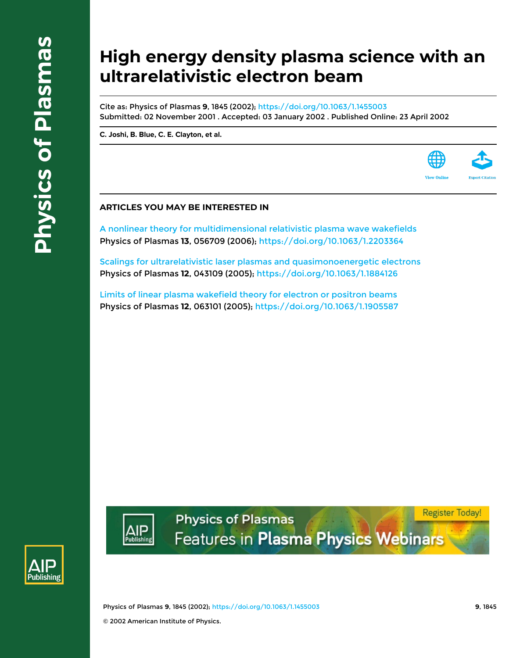# **High energy density plasma science with an ultrarelativistic electron beam**

Cite as: Physics of Plasmas **9**, 1845 (2002); <https://doi.org/10.1063/1.1455003> Submitted: 02 November 2001 . Accepted: 03 January 2002 . Published Online: 23 April 2002

**[C. Joshi](https://aip.scitation.org/author/Joshi%2C+C), [B. Blue,](https://aip.scitation.org/author/Blue%2C+B) [C. E. Clayton](https://aip.scitation.org/author/Clayton%2C+C+E), et al.**



[A nonlinear theory for multidimensional relativistic plasma wave wakefields](https://aip.scitation.org/doi/10.1063/1.2203364) Physics of Plasmas **13**, 056709 (2006); <https://doi.org/10.1063/1.2203364>

[Scalings for ultrarelativistic laser plasmas and quasimonoenergetic electrons](https://aip.scitation.org/doi/10.1063/1.1884126) Physics of Plasmas **12**, 043109 (2005); <https://doi.org/10.1063/1.1884126>

[Limits of linear plasma wakefield theory for electron or positron beams](https://aip.scitation.org/doi/10.1063/1.1905587) Physics of Plasmas **12**, 063101 (2005);<https://doi.org/10.1063/1.1905587>



Physics of Plasmas **9**, 1845 (2002); <https://doi.org/10.1063/1.1455003> **9**, 1845 © 2002 American Institute of Physics.

**Physics of Plasmas** 

Features in Plasma Physics Webinars

**Register Today!**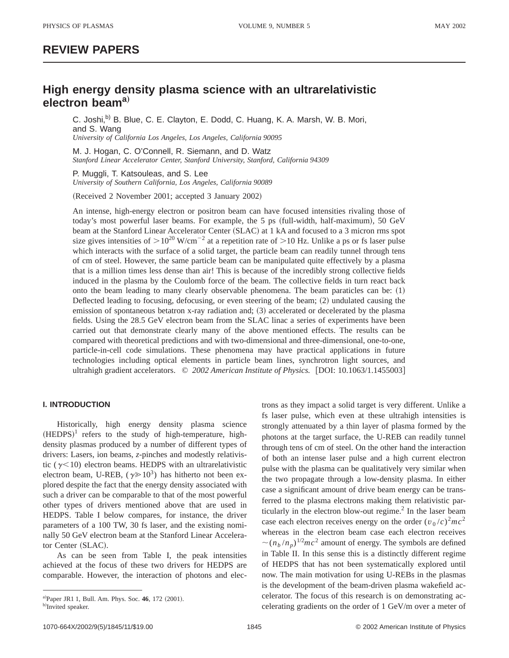# **REVIEW PAPERS**

# **High energy density plasma science with an ultrarelativistic electron beama**…

C. Joshi,<sup>b)</sup> B. Blue, C. E. Clayton, E. Dodd, C. Huang, K. A. Marsh, W. B. Mori, and S. Wang *University of California Los Angeles, Los Angeles, California 90095*

M. J. Hogan, C. O'Connell, R. Siemann, and D. Watz *Stanford Linear Accelerator Center, Stanford University, Stanford, California 94309*

P. Muggli, T. Katsouleas, and S. Lee *University of Southern California, Los Angeles, California 90089*

(Received 2 November 2001; accepted 3 January 2002)

An intense, high-energy electron or positron beam can have focused intensities rivaling those of today's most powerful laser beams. For example, the 5 ps (full-width, half-maximum), 50 GeV beam at the Stanford Linear Accelerator Center (SLAC) at 1 kA and focused to a 3 micron rms spot size gives intensities of  $> 10^{20}$  W/cm<sup>-2</sup> at a repetition rate of  $> 10$  Hz. Unlike a ps or fs laser pulse which interacts with the surface of a solid target, the particle beam can readily tunnel through tens of cm of steel. However, the same particle beam can be manipulated quite effectively by a plasma that is a million times less dense than air! This is because of the incredibly strong collective fields induced in the plasma by the Coulomb force of the beam. The collective fields in turn react back onto the beam leading to many clearly observable phenomena. The beam paraticles can be:  $(1)$ Deflected leading to focusing, defocusing, or even steering of the beam;  $(2)$  undulated causing the emission of spontaneous betatron x-ray radiation and;  $(3)$  accelerated or decelerated by the plasma fields. Using the 28.5 GeV electron beam from the SLAC linac a series of experiments have been carried out that demonstrate clearly many of the above mentioned effects. The results can be compared with theoretical predictions and with two-dimensional and three-dimensional, one-to-one, particle-in-cell code simulations. These phenomena may have practical applications in future technologies including optical elements in particle beam lines, synchrotron light sources, and ultrahigh gradient accelerators. © 2002 American Institute of Physics. [DOI: 10.1063/1.1455003]

# **I. INTRODUCTION**

Historically, high energy density plasma science  $(HEDPS)^1$  refers to the study of high-temperature, highdensity plasmas produced by a number of different types of drivers: Lasers, ion beams, *z*-pinches and modestly relativistic ( $\gamma$ <10) electron beams. HEDPS with an ultrarelativistic electron beam, U-REB,  $(\gamma \ge 10^3)$  has hitherto not been explored despite the fact that the energy density associated with such a driver can be comparable to that of the most powerful other types of drivers mentioned above that are used in HEDPS. Table I below compares, for instance, the driver parameters of a 100 TW, 30 fs laser, and the existing nominally 50 GeV electron beam at the Stanford Linear Accelerator Center (SLAC).

As can be seen from Table I, the peak intensities achieved at the focus of these two drivers for HEDPS are comparable. However, the interaction of photons and electrons as they impact a solid target is very different. Unlike a fs laser pulse, which even at these ultrahigh intensities is strongly attenuated by a thin layer of plasma formed by the photons at the target surface, the U-REB can readily tunnel through tens of cm of steel. On the other hand the interaction of both an intense laser pulse and a high current electron pulse with the plasma can be qualitatively very similar when the two propagate through a low-density plasma. In either case a significant amount of drive beam energy can be transferred to the plasma electrons making them relativistic particularly in the electron blow-out regime. $<sup>2</sup>$  In the laser beam</sup> case each electron receives energy on the order  $(v_0/c)^2mc^2$ whereas in the electron beam case each electron receives  $\sim (n_b/n_p)^{1/2}mc^2$  amount of energy. The symbols are defined in Table II. In this sense this is a distinctly different regime of HEDPS that has not been systematically explored until now. The main motivation for using U-REBs in the plasmas is the development of the beam-driven plasma wakefield accelerator. The focus of this research is on demonstrating accelerating gradients on the order of 1 GeV/m over a meter of

a)Paper JR1 1, Bull. Am. Phys. Soc. 46, 172 (2001).

b)Invited speaker.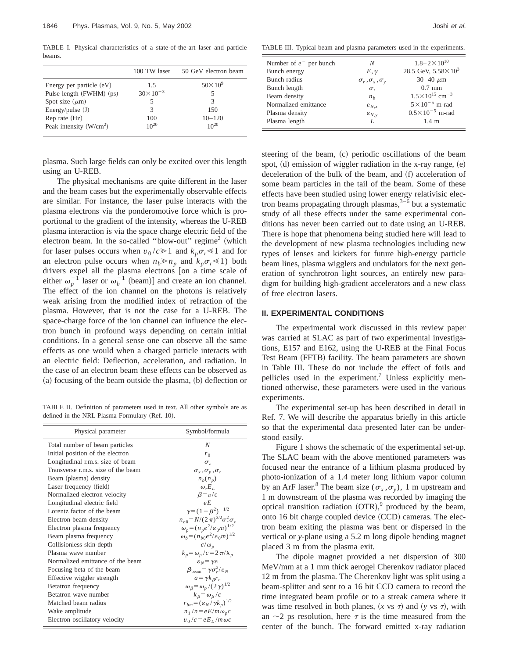TABLE I. Physical characteristics of a state-of-the-art laser and particle beams.

|                            | 100 TW laser        | 50 GeV electron beam |
|----------------------------|---------------------|----------------------|
| Energy per particle $(eV)$ | 1.5                 | $50\times10^{9}$     |
| Pulse length (FWHM) (ps)   | $30 \times 10^{-3}$ | 5                    |
| Spot size $(\mu m)$        |                     | 3                    |
| Energy/pulse $(J)$         | 3                   | 150                  |
| $Rep$ rate $(Hz)$          | 100                 | $10 - 120$           |
| Peak intensity $(W/cm2)$   | $10^{20}$           | $10^{20}$            |

plasma. Such large fields can only be excited over this length using an U-REB.

The physical mechanisms are quite different in the laser and the beam cases but the experimentally observable effects are similar. For instance, the laser pulse interacts with the plasma electrons via the ponderomotive force which is proportional to the gradient of the intensity, whereas the U-REB plasma interaction is via the space charge electric field of the electron beam. In the so-called "blow-out" regime<sup>2</sup> (which for laser pulses occurs when  $v_0/c \ge 1$  and  $k_p \sigma_r \le 1$  and for an electron pulse occurs when  $n_b \ge n_p$  and  $k_p \sigma_r \le 1$ ) both drivers expel all the plasma electrons [on a time scale of either  $\omega_p^{-1}$  laser or  $\omega_b^{-1}$  (beam)] and create an ion channel. The effect of the ion channel on the photons is relatively weak arising from the modified index of refraction of the plasma. However, that is not the case for a U-REB. The space-charge force of the ion channel can influence the electron bunch in profound ways depending on certain initial conditions. In a general sense one can observe all the same effects as one would when a charged particle interacts with an electric field: Deflection, acceleration, and radiation. In the case of an electron beam these effects can be observed as  $(a)$  focusing of the beam outside the plasma,  $(b)$  deflection or

TABLE II. Definition of parameters used in text. All other symbols are as defined in the NRL Plasma Formulary (Ref. 10).

| Physical parameter                 | Symbol/formula                                            |
|------------------------------------|-----------------------------------------------------------|
| Total number of beam particles     | N                                                         |
| Initial position of the electron   | $r_0$                                                     |
| Longitudinal r.m.s. size of beam   | $\sigma$ ,                                                |
| Transverse r.m.s. size of the beam | $\sigma_x, \sigma_y, \sigma_r$                            |
| Beam (plasma) density              | $n_h(n_n)$                                                |
| Laser frequency (field)            | $\omega.E_{L}$                                            |
| Normalized electron velocity       | $\beta = v/c$                                             |
| Longitudinal electric field        | $\rho E$                                                  |
| Lorentz factor of the beam         | $\gamma = (1 - \beta^2)^{-1/2}$                           |
| Electron beam density              | $n_{b0} = N/(2 \pi)^{3/2} \sigma_r^2 \sigma_r$            |
| Electron plasma frequency          | $\omega_p = (n_p e^2/\varepsilon_0 m)^{1/2}$              |
| Beam plasma frequency              | $\omega_b = (n_{b0}e^2/\varepsilon_0 m)^{1/2}$            |
| Collisionless skin-depth           | $c/\omega_n$                                              |
| Plasma wave number                 | $k_p = \omega_p/c = 2\pi/\lambda_p$                       |
| Normalized emittance of the beam   | $\varepsilon_N = \gamma \varepsilon$                      |
| Focusing beta of the beam          | $\beta_{\text{beam}} = \gamma \sigma_r^2 / \varepsilon_N$ |
| Effective wiggler strength         | $a = \gamma k_{\beta} r_o$                                |
| Betatron frequency                 | $ωβ = ωp / (2γ)1/2$                                       |
| Betatron wave number               | $k_\beta = \omega_\beta/c$                                |
| Matched beam radius                | $r_{hm} = (\varepsilon_N / \gamma k_n)^{1/2}$             |
| Wake amplitude                     | $n_1/n = eE/m\omega_p c$                                  |
| Electron oscillatory velocity      | $v_0/c = eE_L/m\omega c$                                  |

TABLE III. Typical beam and plasma parameters used in the experiments.

| Number of $e^-$ per bunch | N                              | $1.8 - 2 \times 10^{10}$              |
|---------------------------|--------------------------------|---------------------------------------|
| Bunch energy              | $E, \gamma$                    | 28.5 GeV, $5.58 \times 10^3$          |
| Bunch radius              | $\sigma_r, \sigma_x, \sigma_y$ | $30 - 40 \mu m$                       |
| Bunch length              | $\sigma$ ,                     | $0.7$ mm                              |
| Beam density              | n <sub>h</sub>                 | $1.5 \times 10^{15}$ cm <sup>-3</sup> |
| Normalized emittance      | $\varepsilon_{N,x}$            | $5 \times 10^{-5}$ m-rad              |
| Plasma density            | $\varepsilon_{N, v}$           | $0.5 \times 10^{-5}$ m-rad            |
| Plasma length             | L                              | $1.4 \text{ m}$                       |
|                           |                                |                                       |

steering of the beam, (c) periodic oscillations of the beam spot,  $(d)$  emission of wiggler radiation in the x-ray range,  $(e)$ deceleration of the bulk of the beam, and (f) acceleration of some beam particles in the tail of the beam. Some of these effects have been studied using lower energy relativisic electron beams propagating through plasmas,  $3-\overline{6}$  but a systematic study of all these effects under the same experimental conditions has never been carried out to date using an U-REB. There is hope that phenomena being studied here will lead to the development of new plasma technologies including new types of lenses and kickers for future high-energy particle beam lines, plasma wigglers and undulators for the next generation of synchrotron light sources, an entirely new paradigm for building high-gradient accelerators and a new class of free electron lasers.

## **II. EXPERIMENTAL CONDITIONS**

The experimental work discussed in this review paper was carried at SLAC as part of two experimental investigations, E157 and E162, using the U-REB at the Final Focus Test Beam (FFTB) facility. The beam parameters are shown in Table III. These do not include the effect of foils and pellicles used in the experiment.<sup>7</sup> Unless explicitly mentioned otherwise, these parameters were used in the various experiments.

The experimental set-up has been described in detail in Ref. 7. We will describe the apparatus briefly in this article so that the experimental data presented later can be understood easily.

Figure 1 shows the schematic of the experimental set-up. The SLAC beam with the above mentioned parameters was focused near the entrance of a lithium plasma produced by photo-ionization of a 1.4 meter long lithium vapor column by an ArF laser.<sup>8</sup> The beam size ( $\sigma_x$ , $\sigma_y$ ), 1 m upstream and 1 m downstream of the plasma was recorded by imaging the optical transition radiation  $(OTR)$ , produced by the beam, onto  $16$  bit charge coupled device  $(CCD)$  cameras. The electron beam exiting the plasma was bent or dispersed in the vertical or *y*-plane using a 5.2 m long dipole bending magnet placed 3 m from the plasma exit.

The dipole magnet provided a net dispersion of 300 MeV/mm at a 1 mm thick aerogel Cherenkov radiator placed 12 m from the plasma. The Cherenkov light was split using a beam-splitter and sent to a 16 bit CCD camera to record the time integrated beam profile or to a streak camera where it was time resolved in both planes,  $(x \text{ vs } \tau)$  and  $(y \text{ vs } \tau)$ , with an  $\sim$ 2 ps resolution, here  $\tau$  is the time measured from the center of the bunch. The forward emitted x-ray radiation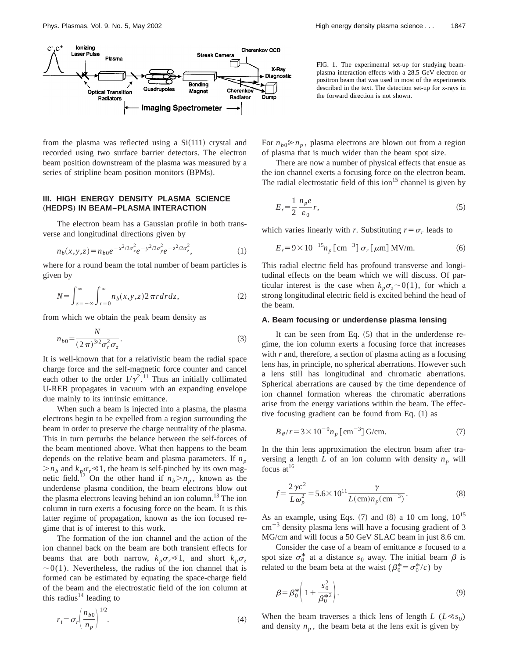

from the plasma was reflected using a  $Si(111)$  crystal and recorded using two surface barrier detectors. The electron beam position downstream of the plasma was measured by a series of stripline beam position monitors (BPMs).

# **III. HIGH ENERGY DENSITY PLASMA SCIENCE** "**HEDPS**… **IN BEAM–PLASMA INTERACTION**

The electron beam has a Gaussian profile in both transverse and longitudinal directions given by

$$
n_b(x, y, z) = n_{b0}e^{-x^2/2\sigma_{x}^2}e^{-y^2/2\sigma_{y}^2}e^{-z^2/2\sigma_{z}^2},
$$
\n(1)

where for a round beam the total number of beam particles is given by

$$
N = \int_{z=-\infty}^{\infty} \int_{r=0}^{\infty} n_b(x, y, z) 2\pi r dr dz,
$$
 (2)

from which we obtain the peak beam density as

$$
n_{b0} = \frac{N}{(2\pi)^{3/2} \sigma_r^2 \sigma_z}.
$$
 (3)

It is well-known that for a relativistic beam the radial space charge force and the self-magnetic force counter and cancel each other to the order  $1/\gamma^2$ .<sup>11</sup> Thus an initially collimated U-REB propagates in vacuum with an expanding envelope due mainly to its intrinsic emittance.

When such a beam is injected into a plasma, the plasma electrons begin to be expelled from a region surrounding the beam in order to preserve the charge neutrality of the plasma. This in turn perturbs the belance between the self-forces of the beam mentioned above. What then happens to the beam depends on the relative beam and plasma parameters. If  $n_p$  $>n_b$  and  $k_p \sigma_r \le 1$ , the beam is self-pinched by its own magnetic field.<sup>12</sup> On the other hand if  $n_b > n_p$ , known as the underdense plasma condition, the beam electrons blow out the plasma electrons leaving behind an ion column.<sup>13</sup> The ion column in turn exerts a focusing force on the beam. It is this latter regime of propagation, known as the ion focused regime that is of interest to this work.

The formation of the ion channel and the action of the ion channel back on the beam are both transient effects for beams that are both narrow,  $k_p \sigma_r \le 1$ , and short  $k_p \sigma_z$  $\sim 0(1)$ . Nevertheless, the radius of the ion channel that is formed can be estimated by equating the space-charge field of the beam and the electrostatic field of the ion column at this radius<sup>14</sup> leading to

$$
r_i = \sigma_r \left(\frac{n_{b0}}{n_p}\right)^{1/2}.\tag{4}
$$

FIG. 1. The experimental set-up for studying beamplasma interaction effects with a 28.5 GeV electron or positron beam that was used in most of the experiments described in the text. The detection set-up for x-rays in the forward direction is not shown.

For  $n_{b0} \ge n_p$ , plasma electrons are blown out from a region of plasma that is much wider than the beam spot size.

There are now a number of physical effects that ensue as the ion channel exerts a focusing force on the electron beam. The radial electrostatic field of this ion<sup>15</sup> channel is given by

$$
E_r = \frac{1}{2} \frac{n_p e}{\varepsilon_0} r,\tag{5}
$$

which varies linearly with *r*. Substituting  $r = \sigma_r$  leads to

$$
E_r = 9 \times 10^{-15} n_p \left[ \text{cm}^{-3} \right] \sigma_r \left[ \mu \text{m} \right] \text{MV/m}.
$$
 (6)

This radial electric field has profound transverse and longitudinal effects on the beam which we will discuss. Of particular interest is the case when  $k_p \sigma_z \sim 0(1)$ , for which a strong longitudinal electric field is excited behind the head of the beam.

# **A. Beam focusing or underdense plasma lensing**

It can be seen from Eq.  $(5)$  that in the underdense regime, the ion column exerts a focusing force that increases with *r* and, therefore, a section of plasma acting as a focusing lens has, in principle, no spherical aberrations. However such a lens still has longitudinal and chromatic aberrations. Spherical aberrations are caused by the time dependence of ion channel formation whereas the chromatic aberrations arise from the energy variations within the beam. The effective focusing gradient can be found from Eq.  $(1)$  as

$$
B_{\theta}/r = 3 \times 10^{-9} n_p \,[\text{cm}^{-3}] \,\text{G/cm}.\tag{7}
$$

In the thin lens approximation the electron beam after traversing a length *L* of an ion column with density  $n_p$  will focus at $^{16}$ 

$$
f = \frac{2\gamma c^2}{L\omega_p^2} = 5.6 \times 10^{11} \frac{\gamma}{L(\text{cm})n_p(\text{cm}^{-3})}.
$$
 (8)

As an example, using Eqs.  $(7)$  and  $(8)$  a 10 cm long,  $10^{15}$  $\text{cm}^{-3}$  density plasma lens will have a focusing gradient of 3 MG/cm and will focus a 50 GeV SLAC beam in just 8.6 cm.

Consider the case of a beam of emittance  $\varepsilon$  focused to a spot size  $\sigma_0^*$  at a distance  $s_0$  away. The initial beam  $\beta$  is related to the beam beta at the waist  $(\beta_0^* = \sigma_0^*/c)$  by

$$
\beta = \beta_0^* \left( 1 + \frac{s_0^2}{\beta_0^{*2}} \right). \tag{9}
$$

When the beam traverses a thick lens of length *L* ( $L \ll s_0$ ) and density  $n_p$ , the beam beta at the lens exit is given by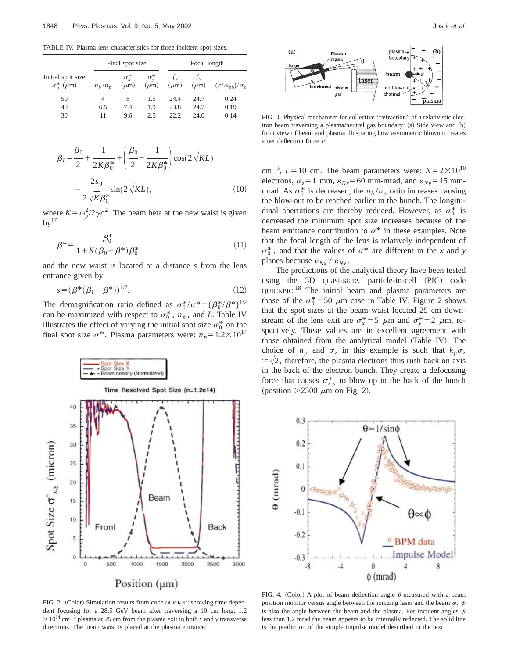TABLE IV. Plasma lens characteristics for three incident spot sizes.

| Initial spot size<br>$\sigma_{\rm o}^*$ ( $\mu$ m) |           | Final spot size         |                           | Focal length         |                    |                            |
|----------------------------------------------------|-----------|-------------------------|---------------------------|----------------------|--------------------|----------------------------|
|                                                    | $n_h/n_p$ | $\sigma^*$<br>$(\mu m)$ | $\sigma_v^*$<br>$(\mu m)$ | $f_{x}$<br>$(\mu m)$ | $f_v$<br>$(\mu m)$ | $(c/\omega_{ph})/\sigma_z$ |
| 50                                                 | 4         | 6                       | 1.5                       | 24.4                 | 24.7               | 0.24                       |
| 40                                                 | 6.5       | 7.4                     | 1.9                       | 23.8                 | 24.7               | 0.19                       |
| 30                                                 | 11        | 9.6                     | 2.5                       | 22.2                 | 24.6               | 0.14                       |

$$
\beta_L = \frac{\beta_0}{2} + \frac{1}{2K\beta_0^*} + \left(\frac{\beta_0}{2} - \frac{1}{2K\beta_0^*}\right) \cos(2\sqrt{K}L)
$$

$$
- \frac{2s_0}{2\sqrt{K}\beta_0^*} \sin(2\sqrt{K}L), \qquad (10)
$$

where  $K = \omega_p^2/2\gamma c^2$ . The beam beta at the new waist is given  $bv^{17}$ 

$$
\beta^* = \frac{\beta_0^*}{1 + K(\beta_0 - \beta^*)\beta_0^*}
$$
\n(11)

and the new waist is located at a distance *s* from the lens entrance given by

$$
s = (\beta^*(\beta_L - \beta^*))^{1/2}.
$$
 (12)

The demagnification ratio defined as  $\sigma_0^*/\sigma^* = (\beta_0^*/\beta^*)^{1/2}$ can be maximized with respect to  $\sigma_0^*$ ,  $n_p$ , and *L*. Table IV illustrates the effect of varying the initial spot size  $\sigma_0^*$  on the final spot size  $\sigma^*$ . Plasma parameters were:  $n_p = 1.2 \times 10^{14}$ 



FIG. 2. (Color) Simulation results from code QUICKPIC showing time dependent focusing for a 28.5 GeV beam after traversing a 10 cm long, 1.2  $\times 10^{14}$  cm<sup>-3</sup> plasma at 25 cm from the plasma exit in both *x* and *y* transverse directions. The beam waist is placed at the plasma entrance.



FIG. 3. Physical mechanism for collective ''refraction'' of a relativistic electron beam traversing a plasma/neutral gas boundary:  $(a)$  Side view and  $(b)$ front view of beam and plasma illustrating how asymmetric blowout creates a net deflection force *F*.

cm<sup>-3</sup>, *L*=10 cm. The beam parameters were:  $N=2\times10^{10}$ electrons,  $\sigma_z = 1$  mm,  $\varepsilon_{Nx} = 60$  mm-mrad, and  $\varepsilon_{Ny} = 15$  mmmrad. As  $\sigma_0^*$  is decreased, the  $n_b/n_p$  ratio increases causing the blow-out to be reached earlier in the bunch. The longitudinal aberrations are thereby reduced. However, as  $\sigma_0^*$  is decreased the minimum spot size increases because of the beam emittance contribution to  $\sigma^*$  in these examples. Note that the focal length of the lens is relatively independent of  $\sigma_0^*$ , and that the values of  $\sigma^*$  are different in the *x* and *y* planes because  $\varepsilon_{Nx} \neq \varepsilon_{Ny}$ .

The predictions of the analytical theory have been tested using the 3D quasi-state, particle-in-cell (PIC) code QUICKPIC.<sup>18</sup> The initial beam and plasma parameters are those of the  $\sigma_0^*$  = 50  $\mu$ m case in Table IV. Figure 2 shows that the spot sizes at the beam waist located 25 cm downstream of the lens exit are  $\sigma_x^* = 5 \mu$ m and  $\sigma_y^* = 2 \mu$ m, respectively. These values are in excellent agreement with those obtained from the analytical model (Table IV). The choice of  $n_p$  and  $\sigma_z$  in this example is such that  $k_p \sigma_z$  $\approx \sqrt{2}$ , therefore, the plasma electrons thus rush back on axis in the back of the electron bunch. They create a defocusing force that causes  $\sigma_{x,y}^*$  to blow up in the back of the bunch (position  $>2300 \mu m$  on Fig. 2).



FIG. 4. (Color) A plot of beam deflection angle  $\theta$  measured with a beam position monitor versus angle between the ionizing laser and the beam  $\phi$ .  $\phi$ is also the angle between the beam and the plasma. For incident angles  $\phi$ less than 1.2 mrad the beam appears to be internally reflected. The solid line is the prediction of the simple impulse model described in the text.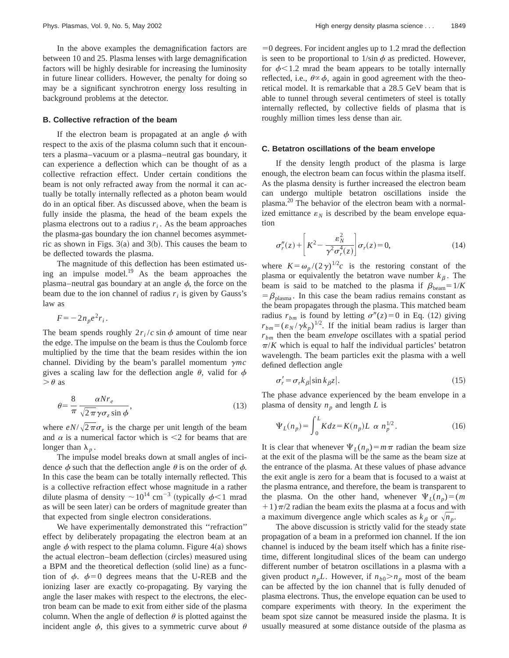In the above examples the demagnification factors are between 10 and 25. Plasma lenses with large demagnification factors will be highly desirable for increasing the luminosity in future linear colliders. However, the penalty for doing so may be a significant synchrotron energy loss resulting in background problems at the detector.

#### **B. Collective refraction of the beam**

If the electron beam is propagated at an angle  $\phi$  with respect to the axis of the plasma column such that it encounters a plasma–vacuum or a plasma–neutral gas boundary, it can experience a deflection which can be thought of as a collective refraction effect. Under certain conditions the beam is not only refracted away from the normal it can actually be totally internally reflected as a photon beam would do in an optical fiber. As discussed above, when the beam is fully inside the plasma, the head of the beam expels the plasma electrons out to a radius  $r_i$ . As the beam approaches the plasma-gas boundary the ion channel becomes asymmetric as shown in Figs.  $3(a)$  and  $3(b)$ . This causes the beam to be deflected towards the plasma.

The magnitude of this deflection has been estimated using an impulse model.<sup>19</sup> As the beam approaches the plasma–neutral gas boundary at an angle  $\phi$ , the force on the beam due to the ion channel of radius  $r_i$  is given by Gauss's law as

 $F=-2n_{p}e^{2}r_{i}$ .

The beam spends roughly  $2r_i/c \sin \phi$  amount of time near the edge. The impulse on the beam is thus the Coulomb force multiplied by the time that the beam resides within the ion channel. Dividing by the beam's parallel momentum  $\gamma mc$ gives a scaling law for the deflection angle  $\theta$ , valid for  $\phi$  $\theta$  as

$$
\theta = \frac{8}{\pi} \frac{\alpha N r_e}{\sqrt{2\pi} \gamma \sigma_z \sin \phi},\tag{13}
$$

where  $eN/\sqrt{2\pi}\sigma_z$  is the charge per unit length of the beam and  $\alpha$  is a numerical factor which is <2 for beams that are longer than  $\lambda_n$ .

The impulse model breaks down at small angles of incidence  $\phi$  such that the deflection angle  $\theta$  is on the order of  $\phi$ . In this case the beam can be totally internally reflected. This is a collective refraction effect whose magnitude in a rather dilute plasma of density  $\sim 10^{14}$  cm<sup>-3</sup> (typically  $\phi$  < 1 mrad as will be seen later) can be orders of magnitude greater than that expected from single electron considerations.

We have experimentally demonstrated this ''refraction'' effect by deliberately propagating the electron beam at an angle  $\phi$  with respect to the plama column. Figure 4(a) shows the actual electron–beam deflection (circles) measured using a BPM and the theoretical deflection (solid line) as a function of  $\phi$ .  $\phi=0$  degrees means that the U-REB and the ionizing laser are exactly co-propagating. By varying the angle the laser makes with respect to the electrons, the electron beam can be made to exit from either side of the plasma column. When the angle of deflection  $\theta$  is plotted against the incident angle  $\phi$ , this gives to a symmetric curve about  $\theta$   $=0$  degrees. For incident angles up to 1.2 mrad the deflection is seen to be proportional to  $1/\sin \phi$  as predicted. However, for  $\phi$ <1.2 mrad the beam appears to be totally internally reflected, i.e.,  $\theta \propto \phi$ , again in good agreement with the theoretical model. It is remarkable that a 28.5 GeV beam that is able to tunnel through several centimeters of steel is totally internally reflected, by collective fields of plasma that is roughly million times less dense than air.

#### **C. Betatron oscillations of the beam envelope**

If the density length product of the plasma is large enough, the electron beam can focus within the plasma itself. As the plasma density is further increased the electron beam can undergo multiple betatron oscillations inside the plasma.20 The behavior of the electron beam with a normalized emittance  $\varepsilon_N$  is described by the beam envelope equation

$$
\sigma_r''(z) + \left[K^2 - \frac{\varepsilon_N^2}{\gamma^2 \sigma_r^4(z)}\right] \sigma_r(z) = 0,
$$
\n(14)

where  $K = \omega_p/(2\gamma)^{1/2}c$  is the restoring constant of the plasma or equivalently the betatron wave number  $k<sub>\beta</sub>$ . The beam is said to be matched to the plasma if  $\beta_{\text{beam}}=1/K$  $=$   $\beta_{\text{plasma}}$ . In this case the beam radius remains constant as the beam propagates through the plasma. This matched beam radius  $r_{bm}$  is found by letting  $\sigma''(z) = 0$  in Eq. (12) giving  $r_{bm} = (\varepsilon_N / \gamma k_p)^{1/2}$ . If the initial beam radius is larger than *rbm* then the beam *envelope* oscillates with a spatial period  $\pi/K$  which is equal to half the individual particles' betatron wavelength. The beam particles exit the plasma with a well defined deflection angle

$$
\sigma_r' = \sigma_r k_\beta |\sin k_\beta z|.\tag{15}
$$

The phase advance experienced by the beam envelope in a plasma of density  $n_p$  and length *L* is

$$
\Psi_L(n_p) = \int_0^L K dz = K(n_p) L \, \alpha \, n_p^{1/2}.
$$
\n(16)

It is clear that whenever  $\Psi_L(n_p) = m \pi$  radian the beam size at the exit of the plasma will be the same as the beam size at the entrance of the plasma. At these values of phase advance the exit angle is zero for a beam that is focused to a waist at the plasma entrance, and therefore, the beam is transparent to the plasma. On the other hand, whenever  $\Psi_L(n_p)=(m$  $+1)\pi/2$  radian the beam exits the plasma at a focus and with a maximum divergence angle which scales as  $k_{\beta}$  or  $\sqrt{n_p}$ .

The above discussion is strictly valid for the steady state propagation of a beam in a preformed ion channel. If the ion channel is induced by the beam itself which has a finite risetime, different longitudinal slices of the beam can undergo different number of betatron oscillations in a plasma with a given product  $n_p L$ . However, if  $n_{b0} > n_p$  most of the beam can be affected by the ion channel that is fully denuded of plasma electrons. Thus, the envelope equation can be used to compare experiments with theory. In the experiment the beam spot size cannot be measured inside the plasma. It is usually measured at some distance outside of the plasma as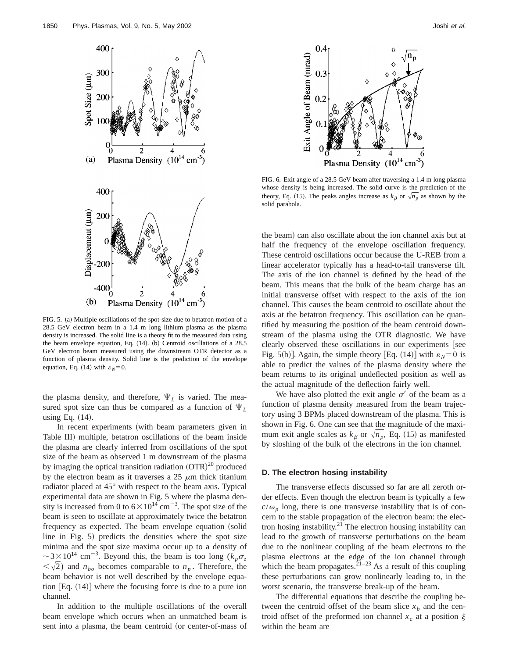

FIG. 5. (a) Multiple oscillations of the spot-size due to betatron motion of a 28.5 GeV electron beam in a 1.4 m long lithium plasma as the plasma density is increased. The solid line is a theory fit to the measured data using the beam envelope equation, Eq.  $(14)$ .  $(b)$  Centroid oscillations of a 28.5 GeV electron beam measured using the downstream OTR detector as a function of plasma density. Solid line is the prediction of the envelope equation, Eq.  $(14)$  with  $\varepsilon_N = 0$ .

the plasma density, and therefore,  $\Psi_L$  is varied. The measured spot size can thus be compared as a function of  $\Psi_L$ using Eq.  $(14)$ .

In recent experiments (with beam parameters given in Table III) multiple, betatron oscillations of the beam inside the plasma are clearly inferred from oscillations of the spot size of the beam as observed 1 m downstream of the plasma by imaging the optical transition radiation  $(OTR)^{20}$  produced by the electron beam as it traverses a  $25 \mu m$  thick titanium radiator placed at 45° with respect to the beam axis. Typical experimental data are shown in Fig. 5 where the plasma density is increased from 0 to  $6 \times 10^{14}$  cm<sup>-3</sup>. The spot size of the beam is seen to oscillate at approximately twice the betatron frequency as expected. The beam envelope equation (solid line in Fig. 5) predicts the densities where the spot size minima and the spot size maxima occur up to a density of  $\sim$  3 $\times$ 10<sup>14</sup> cm<sup>-3</sup>. Beyond this, the beam is too long ( $k_p \sigma_z$  $\langle \sqrt{2} \rangle$  and  $n_{bo}$  becomes comparable to  $n_p$ . Therefore, the beam behavior is not well described by the envelope equation  $Eq. (14)$  where the focusing force is due to a pure ion channel.

In addition to the multiple oscillations of the overall beam envelope which occurs when an unmatched beam is sent into a plasma, the beam centroid (or center-of-mass of



FIG. 6. Exit angle of a 28.5 GeV beam after traversing a 1.4 m long plasma whose density is being increased. The solid curve is the prediction of the theory, Eq. (15). The peaks angles increase as  $k_{\beta}$  or  $\sqrt{n_p}$  as shown by the solid parabola.

the beam) can also oscillate about the ion channel axis but at half the frequency of the envelope oscillation frequency. These centroid oscillations occur because the U-REB from a linear accelerator typically has a head-to-tail transverse tilt. The axis of the ion channel is defined by the head of the beam. This means that the bulk of the beam charge has an initial transverse offset with respect to the axis of the ion channel. This causes the beam centroid to oscillate about the axis at the betatron frequency. This oscillation can be quantified by measuring the position of the beam centroid downstream of the plasma using the OTR diagnostic. We have clearly observed these oscillations in our experiments [see Fig. 5(b)]. Again, the simple theory [Eq. (14)] with  $\varepsilon_N = 0$  is able to predict the values of the plasma density where the beam returns to its original undeflected position as well as the actual magnitude of the deflection fairly well.

We have also plotted the exit angle  $\sigma'$  of the beam as a function of plasma density measured from the beam trajectory using 3 BPMs placed downstream of the plasma. This is shown in Fig. 6. One can see that the magnitude of the maximum exit angle scales as  $k_{\beta}$  or  $\sqrt{n_p}$ , Eq. (15) as manifested by sloshing of the bulk of the electrons in the ion channel.

#### **D. The electron hosing instability**

The transverse effects discussed so far are all zeroth order effects. Even though the electron beam is typically a few  $c/\omega_p$  long, there is one transverse instability that is of concern to the stable propagation of the electron beam: the electron hosing instability. $2<sup>1</sup>$  The electron housing instability can lead to the growth of transverse perturbations on the beam due to the nonlinear coupling of the beam electrons to the plasma electrons at the edge of the ion channel through which the beam propagates.<sup>21–23</sup> As a result of this coupling these perturbations can grow nonlinearly leading to, in the worst scenario, the transverse break-up of the beam.

The differential equations that describe the coupling between the centroid offset of the beam slice  $x<sub>b</sub>$  and the centroid offset of the preformed ion channel  $x_c$  at a position  $\xi$ within the beam are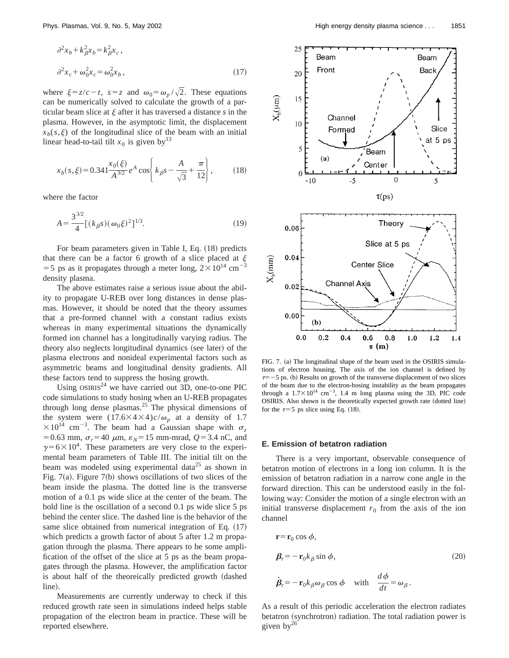$$
\partial^2 x_b + k_\beta^2 x_b = k_\beta^2 x_c ,
$$
  

$$
\partial^2 x_c + \omega_0^2 x_c = \omega_0^2 x_b ,
$$
 (17)

where  $\xi = z/c - t$ ,  $s = z$  and  $\omega_0 = \omega_p / \sqrt{2}$ . These equations can be numerically solved to calculate the growth of a particular beam slice at  $\xi$  after it has traversed a distance  $s$  in the plasma. However, in the asymptotic limit, the displacement  $x<sub>b</sub>(s, \xi)$  of the longitudinal slice of the beam with an initial linear head-to-tail tilt  $x_0$  is given by<sup>13</sup>

$$
x_b(s,\xi) = 0.341 \frac{x_0(\xi)}{A^{3/2}} e^A \cos\left(k_\beta s - \frac{A}{\sqrt{3}} + \frac{\pi}{12}\right),\tag{18}
$$

where the factor

$$
A = \frac{3^{3/2}}{4} [(k_{\beta}s)(\omega_0\xi)^2]^{1/3}.
$$
 (19)

For beam parameters given in Table I, Eq.  $(18)$  predicts For beam parameters  $\frac{1}{2}$ . That there can be a factor 6 growth of a slice placed at  $\zeta$ = 5 ps as it propagates through a meter long,  $2 \times 10^{14}$  cm<sup>-1</sup> density plasma.

The above estimates raise a serious issue about the ability to propagate U-REB over long distances in dense plasmas. However, it should be noted that the theory assumes that a pre-formed channel with a constant radius exists whereas in many experimental situations the dynamically formed ion channel has a longitudinally varying radius. The theory also neglects longitudinal dynamics (see later) of the plasma electrons and nonideal experimental factors such as asymmetric beams and longitudinal density gradients. All these factors tend to suppress the hosing growth.

Using  $OSIRIS<sup>24</sup>$  we have carried out 3D, one-to-one PIC code simulations to study hosing when an U-REB propagates through long dense plasmas.<sup>25</sup> The physical dimensions of the system were  $(17.6\times4\times4)c/\omega_p$  at a density of 1.7  $\times 10^{14}$  cm<sup>-3</sup>. The beam had a Gaussian shape with  $\sigma_z$  $= 0.63$  mm,  $\sigma_r = 40 \mu m$ ,  $\varepsilon_N = 15$  mm-mrad,  $Q = 3.4$  nC, and  $\gamma$ =6×10<sup>4</sup>. These parameters are very close to the experimental beam parameters of Table III. The initial tilt on the beam was modeled using experimental data<sup>25</sup> as shown in Fig. 7(a). Figure 7(b) shows oscillations of two slices of the beam inside the plasma. The dotted line is the transverse motion of a 0.1 ps wide slice at the center of the beam. The bold line is the oscillation of a second 0.1 ps wide slice 5 ps behind the center slice. The dashed line is the behavior of the same slice obtained from numerical integration of Eq.  $(17)$ which predicts a growth factor of about 5 after 1.2 m propagation through the plasma. There appears to be some amplification of the offset of the slice at 5 ps as the beam propagates through the plasma. However, the amplification factor is about half of the theoreically predicted growth (dashed line).

Measurements are currently underway to check if this reduced growth rate seen in simulations indeed helps stable propagation of the electron beam in practice. These will be reported elsewhere.



FIG. 7. (a) The longitudinal shape of the beam used in the OSIRIS simulations of electron housing. The axis of the ion channel is defined by  $\tau=-5$  ps. (b) Results on growth of the transverse displacement of two slices of the beam due to the electron-hosing instability as the beam propagates through a  $1.7 \times 10^{14}$  cm<sup>-3</sup>, 1.4 m long plasma using the 3D, PIC code OSIRIS. Also shown is the theoretically expected growth rate (dotted line) for the  $\tau=5$  ps slice using Eq. (18).

#### **E. Emission of betatron radiation**

There is a very important, observable consequence of betatron motion of electrons in a long ion column. It is the emission of betatron radiation in a narrow cone angle in the forward direction. This can be understood easily in the following way: Consider the motion of a single electron with an initial transverse displacement  $r_0$  from the axis of the ion channel

$$
\mathbf{r} = \mathbf{r}_0 \cos \phi,
$$
  
\n
$$
\boldsymbol{\beta}_r = -\mathbf{r}_0 k_\beta \sin \phi,
$$
  
\n
$$
\dot{\boldsymbol{\beta}}_r = -\mathbf{r}_0 k_\beta \omega_\beta \cos \phi \quad \text{with} \quad \frac{d\phi}{dt} = \omega_\beta.
$$
\n(20)

As a result of this periodic acceleration the electron radiates betatron (synchrotron) radiation. The total radiation power is given by $^{26}$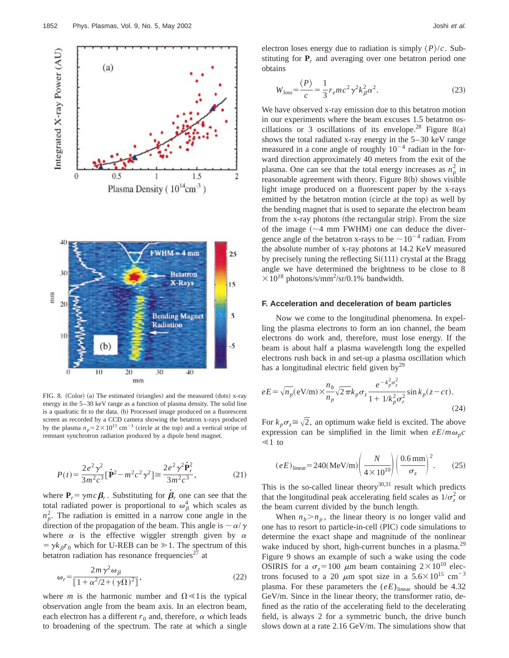

FIG. 8. (Color) (a) The estimated (triangles) and the measured (dots) x-ray energy in the 5–30 keV range as a function of plasma density. The solid line is a quadratic fit to the data. (b) Processed image produced on a fluorescent screen as recorded by a CCD camera showing the betatron x-rays produced by the plasma  $n_p = 2 \times 10^{13}$  cm<sup>-3</sup> (circle at the top) and a vertical stripe of remnant synchrotron radiation produced by a dipole bend magnet.

$$
P(t) = \frac{2e^2\gamma^2}{3m^2c^3} \left[\dot{\mathbf{P}}^2 - m^2c^2\gamma^2\right] \approx \frac{2e^2\gamma^2\dot{\mathbf{P}}_r^2}{3m^2c^3},\tag{21}
$$

where  $P_r = \gamma mc \beta_r$ . Substituting for  $\dot{\beta}_r$  one can see that the total radiated power is proportional to  $\omega_{\beta}^4$  which scales as  $n_p^2$ . The radiation is emitted in a narrow cone angle in the direction of the propagation of the beam. This angle is  $\sim \alpha/\gamma$ where  $\alpha$  is the effective wiggler strength given by  $\alpha$  $= \gamma k_\beta r_0$  which for U-REB can be  $\geq 1$ . The spectrum of this betatron radiation has resonance frequencies<sup> $27$ </sup> at

$$
\omega_r = \frac{2m\gamma^2 \omega_\beta}{\left[1 + \alpha^2/2 + (\gamma \Omega)^2\right]},\tag{22}
$$

where *m* is the harmonic number and  $\Omega \le 1$  is the typical observation angle from the beam axis. In an electron beam, each electron has a different  $r_0$  and, therefore,  $\alpha$  which leads to broadening of the spectrum. The rate at which a single electron loses energy due to radiation is simply  $\langle P \rangle /c$ . Substituting for  $P_r$  and averaging over one betatron period one obtains

$$
W_{\text{loss}} = \frac{\langle P \rangle}{c} = \frac{1}{3} r_e mc^2 \gamma^2 k_\beta^2 \alpha^2. \tag{23}
$$

We have observed x-ray emission due to this betatron motion in our experiments where the beam excuses 1.5 betatron oscillations or 3 oscillations of its envelope.<sup>28</sup> Figure 8(a) shows the total radiated x-ray energy in the 5–30 keV range measured in a cone angle of roughly  $10^{-4}$  radian in the forward direction approximately 40 meters from the exit of the plasma. One can see that the total energy increases as  $n_p^2$  in reasonable agreement with theory. Figure 8(b) shows visible light image produced on a fluorescent paper by the x-rays emitted by the betatron motion (circle at the top) as well by the bending magnet that is used to separate the electron beam from the x-ray photons (the rectangular strip). From the size of the image  $(\sim 4$  mm FWHM) one can deduce the divergence angle of the betatron x-rays to be  $\sim 10^{-4}$  radian. From the absolute number of x-ray photons at 14.2 KeV measured by precisely tuning the reflecting  $Si(111)$  crystal at the Bragg angle we have determined the brightness to be close to 8  $\times 10^{18}$  photons/s/mm<sup>2</sup>/sr/0.1% bandwidth.

#### **F. Acceleration and deceleration of beam particles**

Now we come to the longitudinal phenomena. In expelling the plasma electrons to form an ion channel, the beam electrons do work and, therefore, must lose energy. If the beam is about half a plasma wavelength long the expelled electrons rush back in and set-up a plasma oscillation which has a longitudinal electric field given by $^{29}$ 

$$
eE = \sqrt{n_p} (eV/m) \times \frac{n_b}{n_p} \sqrt{2\pi} k_p \sigma_z \frac{e^{-k_p^2 \sigma_z^2}}{1 + 1/k_p^2 \sigma_r^2} \sin k_p (z - ct).
$$
\n(24)

For  $k_n \sigma \approx \sqrt{2}$ , an optimum wake field is excited. The above expression can be simplified in the limit when  $eE/m\omega_p c$  $\leq 1$  to

$$
(eE)_{\text{linear}} = 240(\text{MeV/m}) \left(\frac{N}{4 \times 10^{10}}\right) \left(\frac{0.6 \text{ mm}}{\sigma_z}\right)^2. \tag{25}
$$

This is the so-called linear theory<sup>30,31</sup> result which predicts that the longitudinal peak accelerating field scales as  $1/\sigma_z^2$  or the beam current divided by the bunch length.

When  $n_b > n_p$ , the linear theory is no longer valid and one has to resort to particle-in-cell (PIC) code simulations to determine the exact shape and magnitude of the nonlinear wake induced by short, high-current bunches in a plasma.<sup>29</sup> Figure 9 shows an example of such a wake using the code OSIRIS for a  $\sigma_z = 100 \mu m$  beam containing  $2 \times 10^{10}$  electrons focused to a 20  $\mu$ m spot size in a 5.6 $\times$ 10<sup>15</sup> cm<sup>-3</sup> plasma. For these parameters the  $(eE)_{\text{linear}}$  should be 4.32 GeV/m. Since in the linear theory, the transformer ratio, defined as the ratio of the accelerating field to the decelerating field, is always 2 for a symmetric bunch, the drive bunch slows down at a rate 2.16 GeV/m. The simulations show that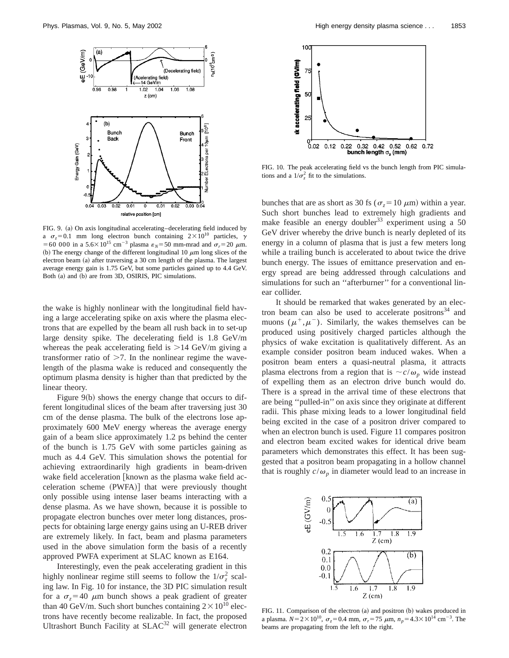

FIG. 9. (a) On axis longitudinal accelerating–decelerating field induced by a  $\sigma_z = 0.1$  mm long electron bunch containing  $2 \times 10^{10}$  particles,  $\gamma$ =60 000 in a 5.6 $\times$ 10<sup>15</sup> cm<sup>-3</sup> plasma  $\varepsilon_N$ =50 mm-mrad and  $\sigma_r$ =20  $\mu$ m. (b) The energy change of the different longitudinal 10  $\mu$ m long slices of the electron beam (a) after traversing a 30 cm length of the plasma. The largest average energy gain is 1.75 GeV, but some particles gained up to 4.4 GeV. Both (a) and (b) are from 3D, OSIRIS, PIC simulations.

the wake is highly nonlinear with the longitudinal field having a large accelerating spike on axis where the plasma electrons that are expelled by the beam all rush back in to set-up large density spike. The decelerating field is 1.8 GeV/m whereas the peak accelerating field is  $>14$  GeV/m giving a transformer ratio of  $\geq 7$ . In the nonlinear regime the wavelength of the plasma wake is reduced and consequently the optimum plasma density is higher than that predicted by the linear theory.

Figure  $9(b)$  shows the energy change that occurs to different longitudinal slices of the beam after traversing just 30 cm of the dense plasma. The bulk of the electrons lose approximately 600 MeV energy whereas the average energy gain of a beam slice approximately 1.2 ps behind the center of the bunch is 1.75 GeV with some particles gaining as much as 4.4 GeV. This simulation shows the potential for achieving extraordinarily high gradients in beam-driven wake field acceleration [known as the plasma wake field acceleration scheme (PWFA)] that were previously thought only possible using intense laser beams interacting with a dense plasma. As we have shown, because it is possible to propagate electron bunches over meter long distances, prospects for obtaining large energy gains using an U-REB driver are extremely likely. In fact, beam and plasma parameters used in the above simulation form the basis of a recently approved PWFA experiment at SLAC known as E164.

Interestingly, even the peak accelerating gradient in this highly nonlinear regime still seems to follow the  $1/\sigma_z^2$  scaling law. In Fig. 10 for instance, the 3D PIC simulation result for a  $\sigma_z = 40 \mu m$  bunch shows a peak gradient of greater than 40 GeV/m. Such short bunches containing  $2 \times 10^{10}$  electrons have recently become realizable. In fact, the proposed Ultrashort Bunch Facility at SLAC<sup>32</sup> will generate electron



FIG. 10. The peak accelerating field vs the bunch length from PIC simulations and a  $1/\sigma_z^2$  fit to the simulations.

bunches that are as short as 30 fs ( $\sigma$ <sub>z</sub>=10  $\mu$ m) within a year. Such short bunches lead to extremely high gradients and make feasible an energy doubler<sup>33</sup> experiment using a 50 GeV driver whereby the drive bunch is nearly depleted of its energy in a column of plasma that is just a few meters long while a trailing bunch is accelerated to about twice the drive bunch energy. The issues of emittance preservation and energy spread are being addressed through calculations and simulations for such an "afterburner" for a conventional linear collider.

It should be remarked that wakes generated by an electron beam can also be used to accelerate positrons $34$  and muons ( $\mu^+,\mu^-$ ). Similarly, the wakes themselves can be produced using positively charged particles although the physics of wake excitation is qualitatively different. As an example consider positron beam induced wakes. When a positron beam enters a quasi-neutral plasma, it attracts plasma electrons from a region that is  $\sim c/\omega_p$  wide instead of expelling them as an electron drive bunch would do. There is a spread in the arrival time of these electrons that are being ''pulled-in'' on axis since they originate at different radii. This phase mixing leads to a lower longitudinal field being excited in the case of a positron driver compared to when an electron bunch is used. Figure 11 compares positron and electron beam excited wakes for identical drive beam parameters which demonstrates this effect. It has been suggested that a positron beam propagating in a hollow channel that is roughly  $c/\omega_p$  in diameter would lead to an increase in



FIG. 11. Comparison of the electron (a) and positron (b) wakes produced in a plasma.  $N=2\times10^{10}$ ,  $\sigma_z=0.4$  mm,  $\sigma_r=75$   $\mu$ m,  $n_p=4.3\times10^{14}$  cm<sup>-3</sup>. The beams are propagating from the left to the right.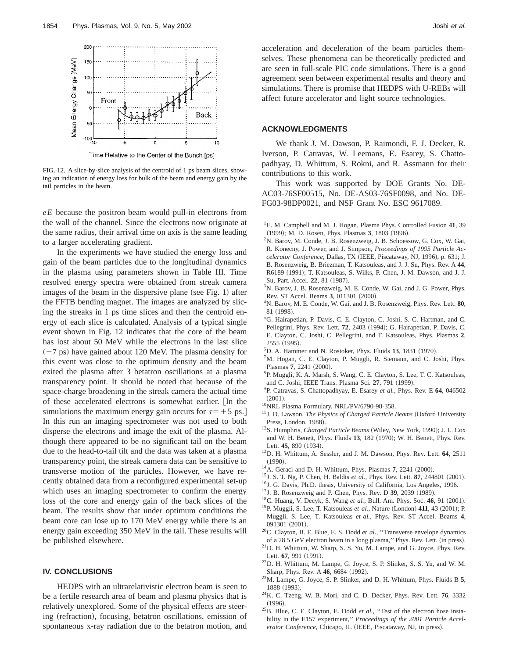

FIG. 12. A slice-by-slice analysis of the centroid of 1 ps beam slices, showing an indication of energy loss for bulk of the beam and energy gain by the tail particles in the beam.

*eE* because the positron beam would pull-in electrons from the wall of the channel. Since the electrons now originate at the same radius, their arrival time on axis is the same leading to a larger accelerating gradient.

In the experiments we have studied the energy loss and gain of the beam particles due to the longitudinal dynamics in the plasma using parameters shown in Table III. Time resolved energy spectra were obtained from streak camera images of the beam in the dispersive plane (see Fig. 1) after the FFTB bending magnet. The images are analyzed by slicing the streaks in 1 ps time slices and then the centroid energy of each slice is calculated. Analysis of a typical single event shown in Fig. 12 indicates that the core of the beam has lost about 50 MeV while the electrons in the last slice  $(+7 \text{ ps})$  have gained about 120 MeV. The plasma density for this event was close to the optimum density and the beam exited the plasma after 3 betatron oscillations at a plasma transparency point. It should be noted that because of the space-charge broadening in the streak camera the actual time of these accelerated electrons is somewhat earlier. [In the simulations the maximum energy gain occurs for  $\tau=+5$  ps.] In this run an imaging spectrometer was not used to both disperse the electrons and image the exit of the plasma. Although there appeared to be no significant tail on the beam due to the head-to-tail tilt and the data was taken at a plasma transparency point, the streak camera data can be sensitive to transverse motion of the particles. However, we have recently obtained data from a reconfigured experimental set-up which uses an imaging spectrometer to confirm the energy loss of the core and energy gain of the back slices of the beam. The results show that under optimum conditions the beam core can lose up to 170 MeV energy while there is an energy gain exceeding 350 MeV in the tail. These results will be published elsewhere.

### **IV. CONCLUSIONS**

HEDPS with an ultrarelativistic electron beam is seen to be a fertile research area of beam and plasma physics that is relatively unexplored. Some of the physical effects are steering (refraction), focusing, betatron oscillations, emission of spontaneous x-ray radiation due to the betatron motion, and acceleration and deceleration of the beam particles themselves. These phenomena can be theoretically predicted and are seen in full-scale PIC code simulations. There is a good agreement seen between experimental results and theory and simulations. There is promise that HEDPS with U-REBs will affect future accelerator and light source technologies.

# **ACKNOWLEDGMENTS**

We thank J. M. Dawson, P. Raimondi, F. J. Decker, R. Iverson, P. Catravas, W. Leemans, E. Esarey, S. Chattopadhyay, D. Whittum, S. Rokni, and R. Assmann for their contributions to this work.

This work was supported by DOE Grants No. DE-AC03-76SF00515, No. DE-AS03-76SF0098, and No. DE-FG03-98DP0021, and NSF Grant No. ESC 9617089.

- 1 E. M. Campbell and M. J. Hogan, Plasma Phys. Controlled Fusion **41**, 39 (1999); M. D. Rosen, Phys. Plasmas 3, 1803 (1996).
- 2N. Barov, M. Conde, J. B. Rosenzweig, J. B. Schoessow, G. Cox, W. Gai, R. Konecny, J. Power, and J. Simpson, *Proceedings of 1995 Particle Accelerator Conference*, Dallas, TX (IEEE, Piscataway, NJ, 1996), p. 631; J. B. Rosenzweig, B. Briezman, T. Katsouleas, and J. J. Su, Phys. Rev. A **44**, R6189 (1991); T. Katsouleas, S. Wilks, P. Chen, J. M. Dawson, and J. J.
- Su, Part. Accel. 22, 81 (1987). <sup>3</sup>N. Barov, J. B. Rosenzweig, M. E. Conde, W. Gai, and J. G. Power, Phys. Rev. ST Accel. Beams 3, 011301 (2000).
- 4 N. Barov, M. E. Conde, W. Gai, and J. B. Rosenzweig, Phys. Rev. Lett. **80**, 81 (1998).
- 5 G. Hairapetian, P. Davis, C. E. Clayton, C. Joshi, S. C. Hartman, and C. Pellegrini, Phys. Rev. Lett. **72**, 2403 (1994); G. Hairapetian, P. Davis, C. E. Clayton, C. Joshi, C. Pellegrini, and T. Katsouleas, Phys. Plasmas **2**, 2555 (1995).
- <sup>6</sup>D. A. Hammer and N. Rostoker, Phys. Fluids 13, 1831 (1970).
- ${}^{7}$ M. Hogan, C. E. Clayton, P. Muggli, R. Siemann, and C. Joshi, Phys. Plasmas **7**, 2241 (2000).
- 8P. Muggli, K. A. Marsh, S. Wang, C. E. Clayton, S. Lee, T. C. Katsouleas, and C. Joshi, IEEE Trans. Plasma Sci. 27, 791 (1999).
- 9P. Catravas, S. Chattopadhyay, E. Esarey *et al.*, Phys. Rev. E **64**, 046502  $(2001)$ .
- <sup>10</sup>NRL Plasma Formulary, NRL/PV/6790-98-358.
- <sup>11</sup>J. D. Lawson, *The Physics of Charged Particle Beams* (Oxford University Press, London, 1988).
- <sup>12</sup>S. Humphris, *Charged Particle Beams* (Wiley, New York, 1990); J. L. Cox and W. H. Benett, Phys. Fluids 13, 182 (1970); W. H. Benett, Phys. Rev. Lett.  $45, 890$   $(1934)$ .
- 13D. H. Whittum, A. Sessler, and J. M. Dawson, Phys. Rev. Lett. **64**, 2511  $(1990).$
- $14A$ . Geraci and D. H. Whittum, Phys. Plasmas  $7$ , 2241 (2000).
- $^{15}$ J. S. T. Ng, P. Chen, H. Baldis *et al.*, Phys. Rev. Lett. **87**, 244801 (2001).
- <sup>16</sup>J. G. Davis, Ph.D. thesis, University of California, Los Angeles, 1996.
- <sup>17</sup>J. B. Rosenzweig and P. Chen, Phys. Rev. D 39, 2039 (1989).
- <sup>18</sup>C. Huang, V. Decyk, S. Wang *et al.*, Bull. Am. Phys. Soc. 46, 91 (2001).
- <sup>19</sup>P. Muggli, S. Lee, T. Katsouleas *et al.*, Nature (London) **411**, 43  $(2001)$ ; P. Muggli, S. Lee, T. Katsouleas *et al.*, Phys. Rev. ST Accel. Beams **4**, 091301 (2001).
- <sup>20</sup>C. Clayton, B. E. Blue, E. S. Dodd *et al.*, "Transverse envelope dynamics of a 28.5 GeV electron beam in a long plasma," Phys. Rev. Lett. (in press).
- 21D. H. Whittum, W. Sharp, S. S. Yu, M. Lampe, and G. Joyce, Phys. Rev. Lett. 67, 991 (1991).
- 22D. H. Whittum, M. Lampe, G. Joyce, S. P. Slinker, S. S. Yu, and W. M. Sharp, Phys. Rev. A 46, 6684 (1992).
- 23M. Lampe, G. Joyce, S. P. Slinker, and D. H. Whittum, Phys. Fluids B **5**, 1888 (1993).
- 24K. C. Tzeng, W. B. Mori, and C. D. Decker, Phys. Rev. Lett. **76**, 3332  $(1996).$
- <sup>25</sup>B. Blue, C. E. Clayton, E. Dodd *et al.*, "Test of the electron hose instability in the E157 experiment,'' *Proceedings of the 2001 Particle Accelerator Conference*, Chicago, IL (IEEE, Piscataway, NJ, in press).